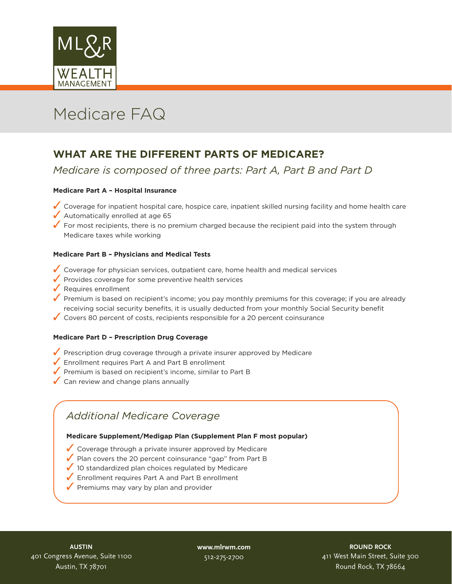

# Medicare FAQ

## **WHAT ARE THE DIFFERENT PARTS OF MEDICARE?**

#### *Medicare is composed of three parts: Part A, Part B and Part D*

#### **Medicare Part A – Hospital Insurance**

- 3 Coverage for inpatient hospital care, hospice care, inpatient skilled nursing facility and home health care
- $\sqrt{\phantom{a}}$  Automatically enrolled at age 65
- $\checkmark$  For most recipients, there is no premium charged because the recipient paid into the system through Medicare taxes while working

#### **Medicare Part B – Physicians and Medical Tests**

- $\checkmark$  Coverage for physician services, outpatient care, home health and medical services
- $\sqrt{\ }$  Provides coverage for some preventive health services
- $\sqrt{\ }$  Requires enrollment
- $\checkmark$  Premium is based on recipient's income; you pay monthly premiums for this coverage; if you are already receiving social security benefits, it is usually deducted from your monthly Social Security benefit
- $\checkmark$  Covers 80 percent of costs, recipients responsible for a 20 percent coinsurance

#### **Medicare Part D – Prescription Drug Coverage**

- $\sqrt{\ }$  Prescription drug coverage through a private insurer approved by Medicare
- $\sqrt{\frac{1}{2}}$  Enrollment requires Part A and Part B enrollment
- $\sqrt{\ }$  Premium is based on recipient's income, similar to Part B
- $\sqrt{\ }$  Can review and change plans annually

### *Additional Medicare Coverage*

#### **Medicare Supplement/Medigap Plan (Supplement Plan F most popular)**

- $\sqrt{\frac{1}{2}}$  Coverage through a private insurer approved by Medicare
- $\sqrt{\ }$  Plan covers the 20 percent coinsurance "gap" from Part B
- $\sqrt{ }$  10 standardized plan choices regulated by Medicare
- $\sqrt{\frac{1}{2}}$  Enrollment requires Part A and Part B enrollment
- $\sqrt{\ }$  Premiums may vary by plan and provider

**www.mlrwm.com** 512-275-2700

**ROUND ROCK** 411 West Main Street, Suite 300 Round Rock, TX 78664